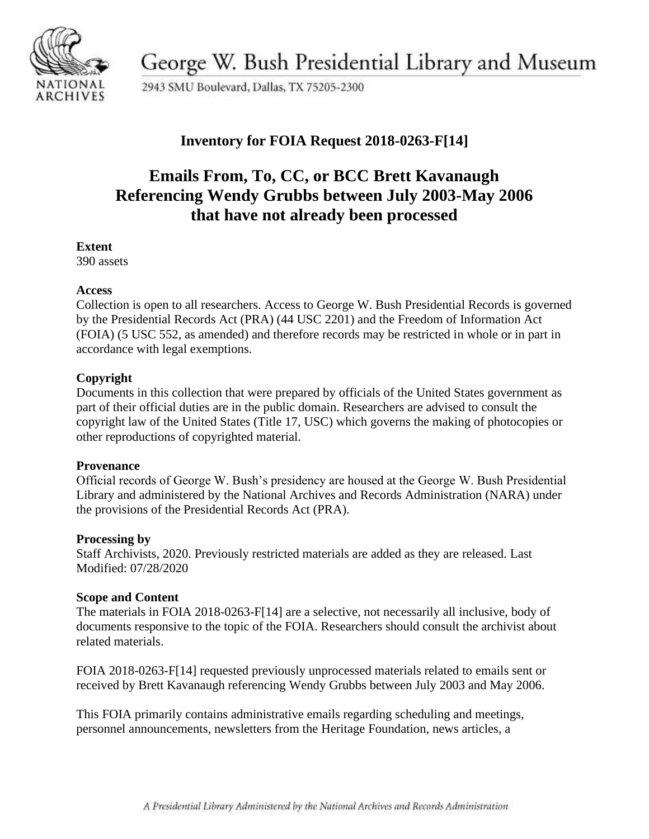

George W. Bush Presidential Library and Museum

2943 SMU Boulevard, Dallas, TX 75205-2300

### **Inventory for FOIA Request 2018-0263-F[14]**

# **Emails From, To, CC, or BCC Brett Kavanaugh Referencing Wendy Grubbs between July 2003-May 2006 that have not already been processed**

#### **Extent**

390 assets

#### **Access**

Collection is open to all researchers. Access to George W. Bush Presidential Records is governed by the Presidential Records Act (PRA) (44 USC 2201) and the Freedom of Information Act (FOIA) (5 USC 552, as amended) and therefore records may be restricted in whole or in part in accordance with legal exemptions.

### **Copyright**

Documents in this collection that were prepared by officials of the United States government as part of their official duties are in the public domain. Researchers are advised to consult the copyright law of the United States (Title 17, USC) which governs the making of photocopies or other reproductions of copyrighted material.

#### **Provenance**

 Official records of George W. Bush's presidency are housed at the George W. Bush Presidential Library and administered by the National Archives and Records Administration (NARA) under the provisions of the Presidential Records Act (PRA).

#### **Processing by**

Staff Archivists, 2020. Previously restricted materials are added as they are released. Last Modified: 07/28/2020

#### **Scope and Content**

The materials in FOIA 2018-0263-F[14] are a selective, not necessarily all inclusive, body of documents responsive to the topic of the FOIA. Researchers should consult the archivist about related materials.

FOIA 2018-0263-F[14] requested previously unprocessed materials related to emails sent or received by Brett Kavanaugh referencing Wendy Grubbs between July 2003 and May 2006.

This FOIA primarily contains administrative emails regarding scheduling and meetings, personnel announcements, newsletters from the Heritage Foundation, news articles, a